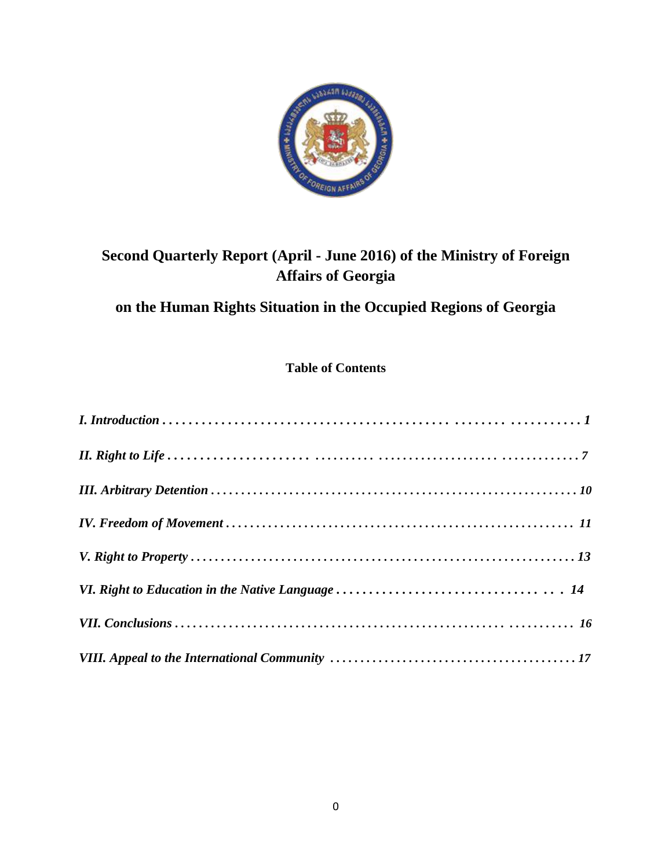

# **Second Quarterly Report (April - June 2016) of the Ministry of Foreign Affairs of Georgia**

# **on the Human Rights Situation in the Occupied Regions of Georgia**

### **Table of Contents**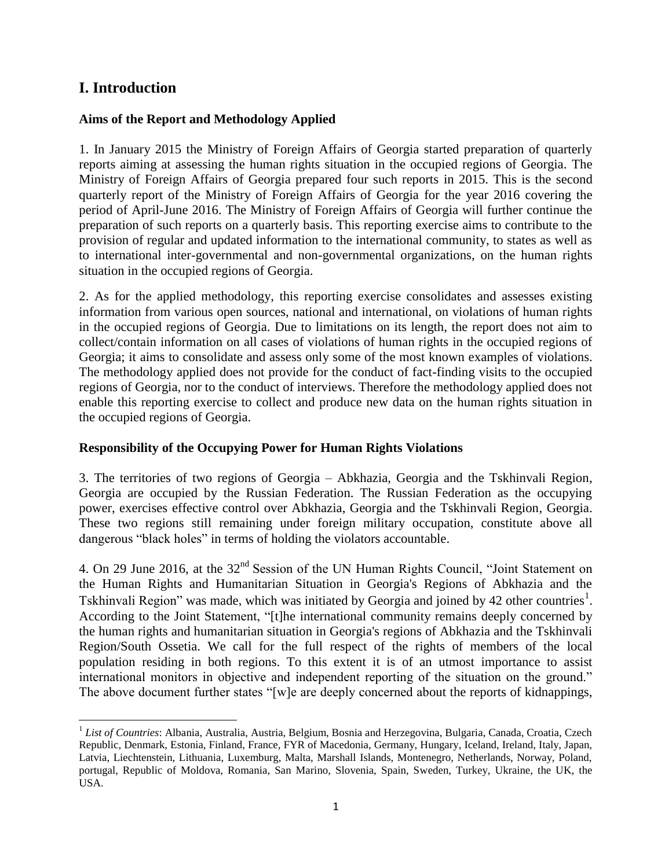## **I. Introduction**

#### **Aims of the Report and Methodology Applied**

1. In January 2015 the Ministry of Foreign Affairs of Georgia started preparation of quarterly reports aiming at assessing the human rights situation in the occupied regions of Georgia. The Ministry of Foreign Affairs of Georgia prepared four such reports in 2015. This is the second quarterly report of the Ministry of Foreign Affairs of Georgia for the year 2016 covering the period of April-June 2016. The Ministry of Foreign Affairs of Georgia will further continue the preparation of such reports on a quarterly basis. This reporting exercise aims to contribute to the provision of regular and updated information to the international community, to states as well as to international inter-governmental and non-governmental organizations, on the human rights situation in the occupied regions of Georgia.

2. As for the applied methodology, this reporting exercise consolidates and assesses existing information from various open sources, national and international, on violations of human rights in the occupied regions of Georgia. Due to limitations on its length, the report does not aim to collect/contain information on all cases of violations of human rights in the occupied regions of Georgia; it aims to consolidate and assess only some of the most known examples of violations. The methodology applied does not provide for the conduct of fact-finding visits to the occupied regions of Georgia, nor to the conduct of interviews. Therefore the methodology applied does not enable this reporting exercise to collect and produce new data on the human rights situation in the occupied regions of Georgia.

#### **Responsibility of the Occupying Power for Human Rights Violations**

3. The territories of two regions of Georgia – Abkhazia, Georgia and the Tskhinvali Region, Georgia are occupied by the Russian Federation. The Russian Federation as the occupying power, exercises effective control over Abkhazia, Georgia and the Tskhinvali Region, Georgia. These two regions still remaining under foreign military occupation, constitute above all dangerous "black holes" in terms of holding the violators accountable.

4. On 29 June 2016, at the 32nd Session of the UN Human Rights Council, "Joint Statement on the Human Rights and Humanitarian Situation in Georgia's Regions of Abkhazia and the Tskhinvali Region" was made, which was initiated by Georgia and joined by 42 other countries<sup>1</sup>. According to the Joint Statement, "[t]he international community remains deeply concerned by the human rights and humanitarian situation in Georgia's regions of Abkhazia and the Tskhinvali Region/South Ossetia. We call for the full respect of the rights of members of the local population residing in both regions. To this extent it is of an utmost importance to assist international monitors in objective and independent reporting of the situation on the ground." The above document further states "[w]e are deeply concerned about the reports of kidnappings,

 $\overline{a}$ <sup>1</sup> List of Countries: Albania, Australia, Austria, Belgium, Bosnia and Herzegovina, Bulgaria, Canada, Croatia, Czech Republic, Denmark, Estonia, Finland, France, FYR of Macedonia, Germany, Hungary, Iceland, Ireland, Italy, Japan, Latvia, Liechtenstein, Lithuania, Luxemburg, Malta, Marshall Islands, Montenegro, Netherlands, Norway, Poland, portugal, Republic of Moldova, Romania, San Marino, Slovenia, Spain, Sweden, Turkey, Ukraine, the UK, the USA.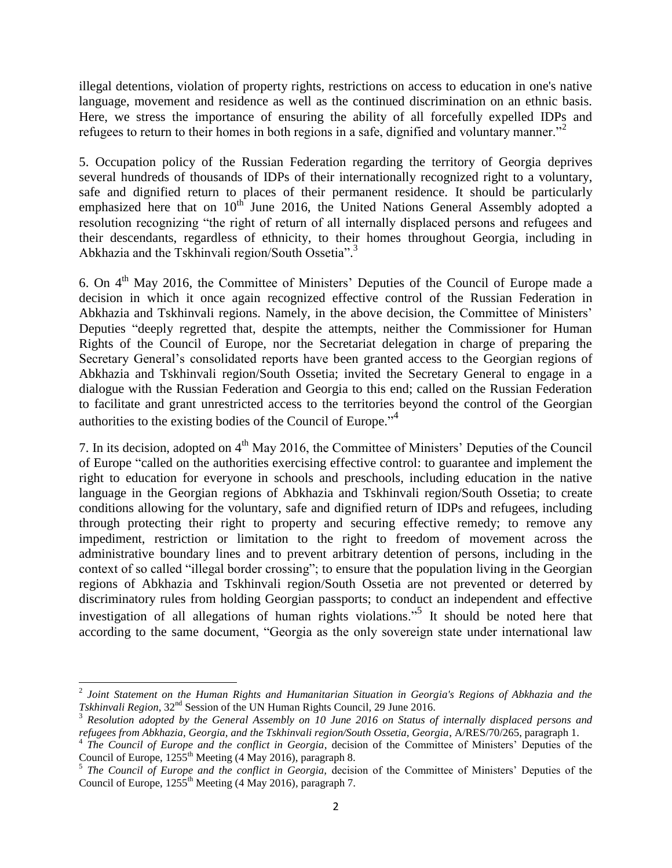illegal detentions, violation of property rights, restrictions on access to education in one's native language, movement and residence as well as the continued discrimination on an ethnic basis. Here, we stress the importance of ensuring the ability of all forcefully expelled IDPs and refugees to return to their homes in both regions in a safe, dignified and voluntary manner.<sup>32</sup>

5. Occupation policy of the Russian Federation regarding the territory of Georgia deprives several hundreds of thousands of IDPs of their internationally recognized right to a voluntary, safe and dignified return to places of their permanent residence. It should be particularly emphasized here that on  $10<sup>th</sup>$  June 2016, the United Nations General Assembly adopted a resolution recognizing "the right of return of all internally displaced persons and refugees and their descendants, regardless of ethnicity, to their homes throughout Georgia, including in Abkhazia and the Tskhinvali region/South Ossetia".<sup>3</sup>

6. On 4th May 2016, the Committee of Ministers' Deputies of the Council of Europe made a decision in which it once again recognized effective control of the Russian Federation in Abkhazia and Tskhinvali regions. Namely, in the above decision, the Committee of Ministers' Deputies "deeply regretted that, despite the attempts, neither the Commissioner for Human Rights of the Council of Europe, nor the Secretariat delegation in charge of preparing the Secretary General's consolidated reports have been granted access to the Georgian regions of Abkhazia and Tskhinvali region/South Ossetia; invited the Secretary General to engage in a dialogue with the Russian Federation and Georgia to this end; called on the Russian Federation to facilitate and grant unrestricted access to the territories beyond the control of the Georgian authorities to the existing bodies of the Council of Europe."<sup>4</sup>

7. In its decision, adopted on 4<sup>th</sup> May 2016, the Committee of Ministers' Deputies of the Council of Europe "called on the authorities exercising effective control: to guarantee and implement the right to education for everyone in schools and preschools, including education in the native language in the Georgian regions of Abkhazia and Tskhinvali region/South Ossetia; to create conditions allowing for the voluntary, safe and dignified return of IDPs and refugees, including through protecting their right to property and securing effective remedy; to remove any impediment, restriction or limitation to the right to freedom of movement across the administrative boundary lines and to prevent arbitrary detention of persons, including in the context of so called "illegal border crossing"; to ensure that the population living in the Georgian regions of Abkhazia and Tskhinvali region/South Ossetia are not prevented or deterred by discriminatory rules from holding Georgian passports; to conduct an independent and effective investigation of all allegations of human rights violations."<sup>5</sup> It should be noted here that according to the same document, "Georgia as the only sovereign state under international law

 $\overline{a}$ 

<sup>2</sup> *Joint Statement on the Human Rights and Humanitarian Situation in Georgia's Regions of Abkhazia and the Tskhinvali Region*, 32<sup>nd</sup> Session of the UN Human Rights Council, 29 June 2016.

<sup>3</sup> *Resolution adopted by the General Assembly on 10 June 2016 on Status of internally displaced persons and refugees from Abkhazia, Georgia, and the Tskhinvali region/South Ossetia, Georgia*, A/RES/70/265, paragraph 1.

<sup>&</sup>lt;sup>4</sup> The Council of Europe and the conflict in Georgia, decision of the Committee of Ministers' Deputies of the Council of Europe, 1255<sup>th</sup> Meeting (4 May 2016), paragraph 8.<br><sup>5</sup> *The Council of Europe and the conflict in Georgia*, decision of the Committee of Ministers' Deputies of the

Council of Europe,  $1255<sup>th</sup>$  Meeting (4 May 2016), paragraph 7.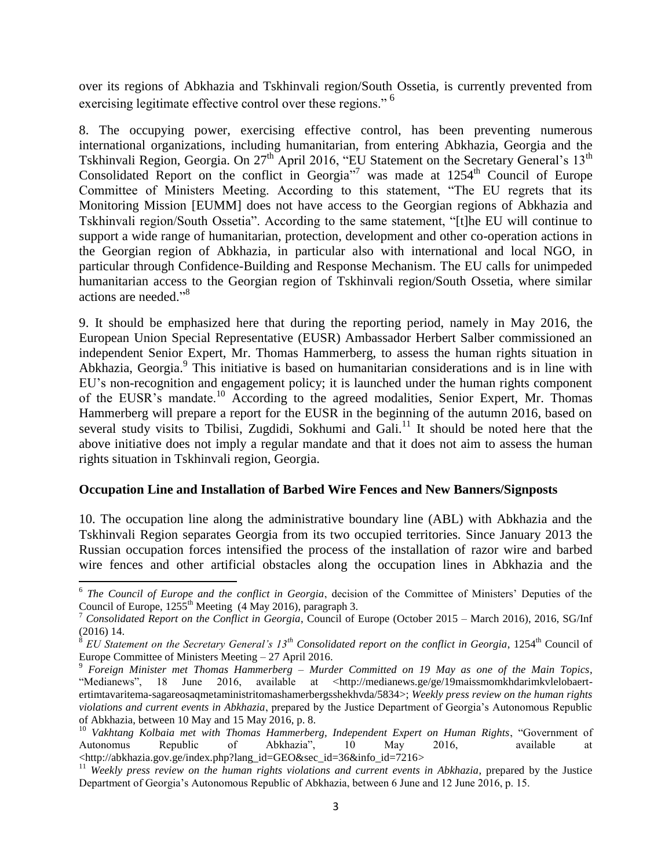over its regions of Abkhazia and Tskhinvali region/South Ossetia, is currently prevented from exercising legitimate effective control over these regions."<sup>6</sup>

8. The occupying power, exercising effective control, has been preventing numerous international organizations, including humanitarian, from entering Abkhazia, Georgia and the Tskhinvali Region, Georgia. On 27<sup>th</sup> April 2016, "EU Statement on the Secretary General's 13<sup>th</sup> Consolidated Report on the conflict in Georgia<sup>"7</sup> was made at  $1254<sup>th</sup>$  Council of Europe Committee of Ministers Meeting. According to this statement, "The EU regrets that its Monitoring Mission [EUMM] does not have access to the Georgian regions of Abkhazia and Tskhinvali region/South Ossetia". According to the same statement, "[t]he EU will continue to support a wide range of humanitarian, protection, development and other co-operation actions in the Georgian region of Abkhazia, in particular also with international and local NGO, in particular through Confidence-Building and Response Mechanism. The EU calls for unimpeded humanitarian access to the Georgian region of Tskhinvali region/South Ossetia, where similar actions are needed." 8

9. It should be emphasized here that during the reporting period, namely in May 2016, the European Union Special Representative (EUSR) Ambassador Herbert Salber commissioned an independent Senior Expert, Mr. Thomas Hammerberg, to assess the human rights situation in Abkhazia, Georgia.<sup>9</sup> This initiative is based on humanitarian considerations and is in line with EU's non-recognition and engagement policy; it is launched under the human rights component of the EUSR's mandate.<sup>10</sup> According to the agreed modalities, Senior Expert, Mr. Thomas Hammerberg will prepare a report for the EUSR in the beginning of the autumn 2016, based on several study visits to Tbilisi, Zugdidi, Sokhumi and Gali.<sup>11</sup> It should be noted here that the above initiative does not imply a regular mandate and that it does not aim to assess the human rights situation in Tskhinvali region, Georgia.

#### **Occupation Line and Installation of Barbed Wire Fences and New Banners/Signposts**

 $\overline{\phantom{a}}$ 

10. The occupation line along the administrative boundary line (ABL) with Abkhazia and the Tskhinvali Region separates Georgia from its two occupied territories. Since January 2013 the Russian occupation forces intensified the process of the installation of razor wire and barbed wire fences and other artificial obstacles along the occupation lines in Abkhazia and the

<sup>&</sup>lt;sup>6</sup> The Council of Europe and the conflict in Georgia, decision of the Committee of Ministers' Deputies of the Council of Europe,  $1255<sup>th</sup>$  Meeting (4 May 2016), paragraph 3.

<sup>7</sup> *Consolidated Report on the Conflict in Georgia*, Council of Europe (October 2015 – March 2016), 2016, SG/Inf

<sup>(2016) 14.&</sup>lt;br><sup>8</sup> EU Statement on the Secretary General's 13<sup>th</sup> Consolidated report on the conflict in Georgia, 1254<sup>th</sup> Council of Europe Committee of Ministers Meeting – 27 April 2016.

<sup>9</sup> *Foreign Minister met Thomas Hammerberg – Murder Committed on 19 May as one of the Main Topics*, "Medianews", 18 June 2016, available at [<http://medianews.ge/ge/19maissmomkhdarimkvlelobaert](http://medianews.ge/ge/19maissmomkhdarimkvlelobaert-ertimtavaritema-sagareosaqmetaministritomashamerbergsshekhvda/5834)[ertimtavaritema-sagareosaqmetaministritomashamerbergsshekhvda/5834>](http://medianews.ge/ge/19maissmomkhdarimkvlelobaert-ertimtavaritema-sagareosaqmetaministritomashamerbergsshekhvda/5834); *Weekly press review on the human rights violations and current events in Abkhazia*, prepared by the Justice Department of Georgia's Autonomous Republic of Abkhazia, between 10 May and 15 May 2016, p. 8.

<sup>&</sup>lt;sup>10</sup> Vakhtang Kolbaia met with Thomas Hammerberg, Independent Expert on Human Rights, "Government of Autonomus Republic of Abkhazia", 10 May 2016, available at [<http://abkhazia.gov.ge/index.php?lang\\_id=GEO&sec\\_id=36&info\\_id=7216>](http://abkhazia.gov.ge/index.php?lang_id=GEO&sec_id=36&info_id=7216)

<sup>&</sup>lt;sup>11</sup> Weekly press review on the human rights violations and current events in Abkhazia, prepared by the Justice Department of Georgia's Autonomous Republic of Abkhazia, between 6 June and 12 June 2016, p. 15.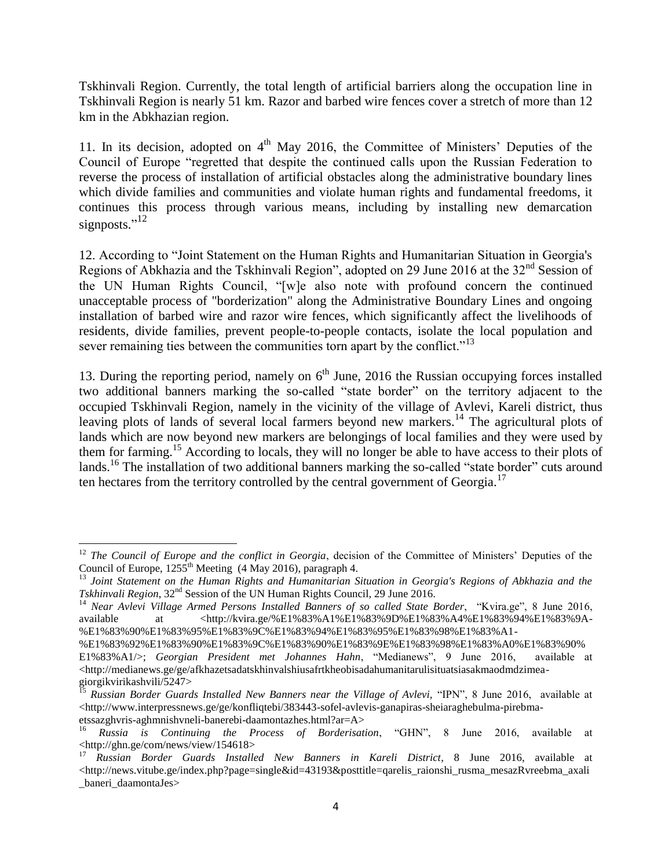Tskhinvali Region. Currently, the total length of artificial barriers along the occupation line in Tskhinvali Region is nearly 51 km. Razor and barbed wire fences cover a stretch of more than 12 km in the Abkhazian region.

11. In its decision, adopted on  $4<sup>th</sup>$  May 2016, the Committee of Ministers' Deputies of the Council of Europe "regretted that despite the continued calls upon the Russian Federation to reverse the process of installation of artificial obstacles along the administrative boundary lines which divide families and communities and violate human rights and fundamental freedoms, it continues this process through various means, including by installing new demarcation signposts."<sup>12</sup>

12. According to "Joint Statement on the Human Rights and Humanitarian Situation in Georgia's Regions of Abkhazia and the Tskhinvali Region", adopted on 29 June 2016 at the 32<sup>nd</sup> Session of the UN Human Rights Council, "[w]e also note with profound concern the continued unacceptable process of "borderization" along the Administrative Boundary Lines and ongoing installation of barbed wire and razor wire fences, which significantly affect the livelihoods of residents, divide families, prevent people-to-people contacts, isolate the local population and sever remaining ties between the communities torn apart by the conflict."<sup>13</sup>

13. During the reporting period, namely on  $6<sup>th</sup>$  June, 2016 the Russian occupying forces installed two additional banners marking the so-called "state border" on the territory adjacent to the occupied Tskhinvali Region, namely in the vicinity of the village of Avlevi, Kareli district, thus leaving plots of lands of several local farmers beyond new markers.<sup>14</sup> The agricultural plots of lands which are now beyond new markers are belongings of local families and they were used by them for farming.<sup>15</sup> According to locals, they will no longer be able to have access to their plots of lands. <sup>16</sup> The installation of two additional banners marking the so-called "state border" cuts around ten hectares from the territory controlled by the central government of Georgia. $^{17}$ 

 $\overline{\phantom{a}}$ <sup>12</sup> *The Council of Europe and the conflict in Georgia*, decision of the Committee of Ministers' Deputies of the Council of Europe,  $1255<sup>th</sup>$  Meeting (4 May 2016), paragraph 4.

<sup>13</sup> *Joint Statement on the Human Rights and Humanitarian Situation in Georgia's Regions of Abkhazia and the Tskhinvali Region*, 32<sup>nd</sup> Session of the UN Human Rights Council, 29 June 2016.

<sup>14</sup> *Near Avlevi Village Armed Persons Installed Banners of so called State Border*, "Kvira.ge", 8 June 2016, available at [<http://kvira.ge/%E1%83%A1%E1%83%9D%E1%83%A4%E1%83%94%E1%83%9A-](http://kvira.ge/%E1%83%A1%E1%83%9D%E1%83%A4%E1%83%94%E1%83%9A-%E1%83%90%E1%83%95%E1%83%9C%E1%83%94%E1%83%95%E1%83%98%E1%83%A1-%E1%83%92%E1%83%90%E1%83%9C%E1%83%90%E1%83%9E%E1%83%98%E1%83%A0%E1%83%90%E1%83%A1/) [%E1%83%90%E1%83%95%E1%83%9C%E1%83%94%E1%83%95%E1%83%98%E1%83%A1-](http://kvira.ge/%E1%83%A1%E1%83%9D%E1%83%A4%E1%83%94%E1%83%9A-%E1%83%90%E1%83%95%E1%83%9C%E1%83%94%E1%83%95%E1%83%98%E1%83%A1-%E1%83%92%E1%83%90%E1%83%9C%E1%83%90%E1%83%9E%E1%83%98%E1%83%A0%E1%83%90%E1%83%A1/)

[<sup>%</sup>E1%83%92%E1%83%90%E1%83%9C%E1%83%90%E1%83%9E%E1%83%98%E1%83%A0%E1%83%90%](http://kvira.ge/%E1%83%A1%E1%83%9D%E1%83%A4%E1%83%94%E1%83%9A-%E1%83%90%E1%83%95%E1%83%9C%E1%83%94%E1%83%95%E1%83%98%E1%83%A1-%E1%83%92%E1%83%90%E1%83%9C%E1%83%90%E1%83%9E%E1%83%98%E1%83%A0%E1%83%90%E1%83%A1/)

[E1%83%A1/>](http://kvira.ge/%E1%83%A1%E1%83%9D%E1%83%A4%E1%83%94%E1%83%9A-%E1%83%90%E1%83%95%E1%83%9C%E1%83%94%E1%83%95%E1%83%98%E1%83%A1-%E1%83%92%E1%83%90%E1%83%9C%E1%83%90%E1%83%9E%E1%83%98%E1%83%A0%E1%83%90%E1%83%A1/); *Georgian President met Johannes Hahn*, "Medianews", 9 June 2016, available at  $\langle$ http://medianews.ge/ge/afkhazetsadatskhinvalshiusafrtkheobisadahumanitarulisituatsiasakmaodmdzimea[giorgikvirikashvili/5247>](http://medianews.ge/ge/afkhazetsadatskhinvalshiusafrtkheobisadahumanitarulisituatsiasakmaodmdzimea-giorgikvirikashvili/5247)

<sup>15</sup> *Russian Border Guards Installed New Banners near the Village of Avlevi,* "IPN", 8 June 2016, available at  $\langle$ http://www.interpressnews.ge/ge/konfliqtebi/383443-sofel-avlevis-ganapiras-sheiaraghebulma-pirebma[etssazghvris-aghmnishvneli-banerebi-daamontazhes.html?ar=A>](http://www.interpressnews.ge/ge/konfliqtebi/383443-sofel-avlevis-ganapiras-sheiaraghebulma-pirebma-etssazghvris-aghmnishvneli-banerebi-daamontazhes.html?ar=A)

<sup>16</sup> *Russia is Continuing the Process of Borderisation*, "GHN", 8 June 2016, available at [<http://ghn.ge/com/news/view/154618>](http://ghn.ge/com/news/view/154618)

<sup>17</sup> *Russian Border Guards Installed New Banners in Kareli District*, 8 June 2016, available at  $\langle$ http://news.vitube.ge/index.php?page=single&id=43193&posttitle=qarelis\_raionshi\_rusma\_mesazRvreebma\_axali [\\_baneri\\_daamontaJes>](http://news.vitube.ge/index.php?page=single&id=43193&posttitle=qarelis_raionshi_rusma_mesazRvreebma_axali_baneri_daamontaJes)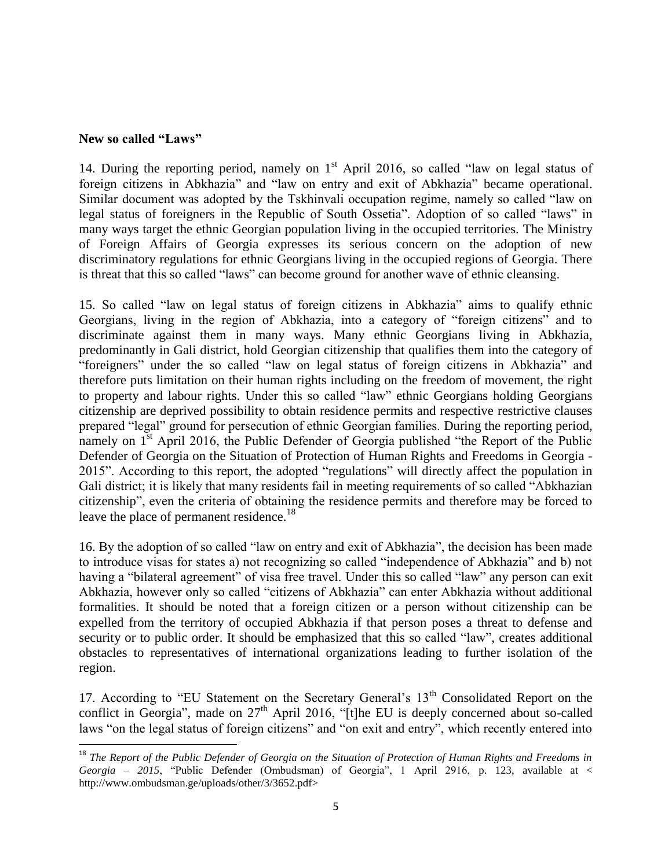#### **New so called "Laws"**

 $\overline{\phantom{a}}$ 

14. During the reporting period, namely on  $1<sup>st</sup>$  April 2016, so called "law on legal status of foreign citizens in Abkhazia" and "law on entry and exit of Abkhazia" became operational. Similar document was adopted by the Tskhinvali occupation regime, namely so called "law on legal status of foreigners in the Republic of South Ossetia". Adoption of so called "laws" in many ways target the ethnic Georgian population living in the occupied territories. The Ministry of Foreign Affairs of Georgia expresses its serious concern on the adoption of new discriminatory regulations for ethnic Georgians living in the occupied regions of Georgia. There is threat that this so called "laws" can become ground for another wave of ethnic cleansing.

15. So called "law on legal status of foreign citizens in Abkhazia" aims to qualify ethnic Georgians, living in the region of Abkhazia, into a category of "foreign citizens" and to discriminate against them in many ways. Many ethnic Georgians living in Abkhazia, predominantly in Gali district, hold Georgian citizenship that qualifies them into the category of "foreigners" under the so called "law on legal status of foreign citizens in Abkhazia" and therefore puts limitation on their human rights including on the freedom of movement, the right to property and labour rights. Under this so called "law" ethnic Georgians holding Georgians citizenship are deprived possibility to obtain residence permits and respective restrictive clauses prepared "legal" ground for persecution of ethnic Georgian families. During the reporting period, namely on 1<sup>st</sup> April 2016, the Public Defender of Georgia published "the Report of the Public Defender of Georgia on the Situation of Protection of Human Rights and Freedoms in Georgia - 2015". According to this report, the adopted "regulations" will directly affect the population in Gali district; it is likely that many residents fail in meeting requirements of so called "Abkhazian citizenship", even the criteria of obtaining the residence permits and therefore may be forced to leave the place of permanent residence.<sup>18</sup>

16. By the adoption of so called "law on entry and exit of Abkhazia", the decision has been made to introduce visas for states a) not recognizing so called "independence of Abkhazia" and b) not having a "bilateral agreement" of visa free travel. Under this so called "law" any person can exit Abkhazia, however only so called "citizens of Abkhazia" can enter Abkhazia without additional formalities. It should be noted that a foreign citizen or a person without citizenship can be expelled from the territory of occupied Abkhazia if that person poses a threat to defense and security or to public order. It should be emphasized that this so called "law", creates additional obstacles to representatives of international organizations leading to further isolation of the region.

17. According to "EU Statement on the Secretary General's 13<sup>th</sup> Consolidated Report on the conflict in Georgia", made on  $27<sup>th</sup>$  April 2016, "[t]he EU is deeply concerned about so-called laws "on the legal status of foreign citizens" and "on exit and entry", which recently entered into

<sup>&</sup>lt;sup>18</sup> The Report of the Public Defender of Georgia on the Situation of Protection of Human Rights and Freedoms in *Georgia – 2015*, "Public Defender (Ombudsman) of Georgia", 1 April 2916, p. 123, available at < http://www.ombudsman.ge/uploads/other/3/3652.pdf>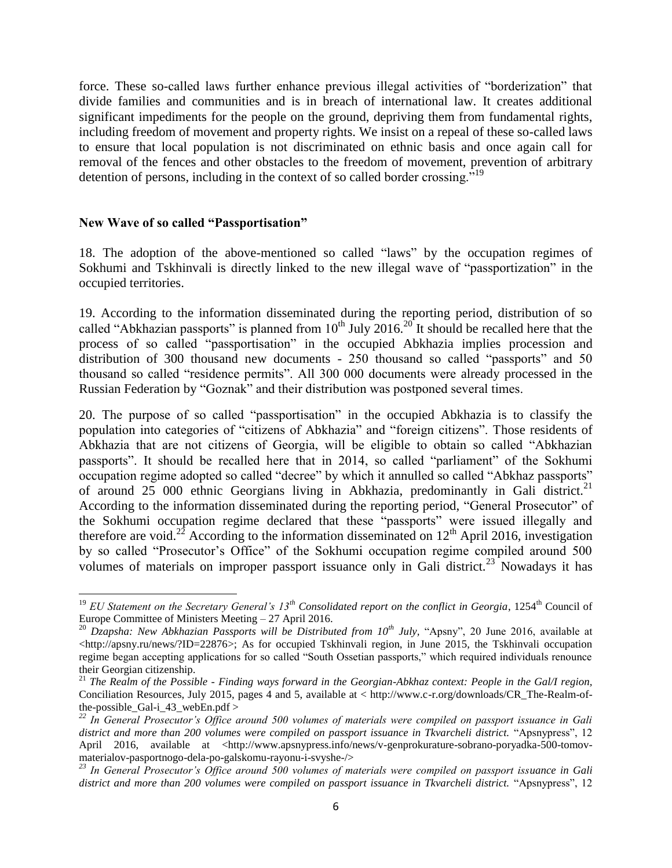force. These so-called laws further enhance previous illegal activities of "borderization" that divide families and communities and is in breach of international law. It creates additional significant impediments for the people on the ground, depriving them from fundamental rights, including freedom of movement and property rights. We insist on a repeal of these so-called laws to ensure that local population is not discriminated on ethnic basis and once again call for removal of the fences and other obstacles to the freedom of movement, prevention of arbitrary detention of persons, including in the context of so called border crossing."<sup>19</sup>

#### **New Wave of so called "Passportisation"**

18. The adoption of the above-mentioned so called "laws" by the occupation regimes of Sokhumi and Tskhinvali is directly linked to the new illegal wave of "passportization" in the occupied territories.

19. According to the information disseminated during the reporting period, distribution of so called "Abkhazian passports" is planned from  $10^{th}$  July 2016.<sup>20</sup> It should be recalled here that the process of so called "passportisation" in the occupied Abkhazia implies procession and distribution of 300 thousand new documents - 250 thousand so called "passports" and 50 thousand so called "residence permits". All 300 000 documents were already processed in the Russian Federation by "Goznak" and their distribution was postponed several times.

20. The purpose of so called "passportisation" in the occupied Abkhazia is to classify the population into categories of "citizens of Abkhazia" and "foreign citizens". Those residents of Abkhazia that are not citizens of Georgia, will be eligible to obtain so called "Abkhazian passports". It should be recalled here that in 2014, so called "parliament" of the Sokhumi occupation regime adopted so called "decree" by which it annulled so called "Abkhaz passports" of around 25 000 ethnic Georgians living in Abkhazia, predominantly in Gali district.<sup>21</sup> According to the information disseminated during the reporting period, "General Prosecutor" of the Sokhumi occupation regime declared that these "passports" were issued illegally and therefore are void.<sup>22</sup> According to the information disseminated on  $12<sup>th</sup>$  April 2016, investigation by so called "Prosecutor's Office" of the Sokhumi occupation regime compiled around 500 volumes of materials on improper passport issuance only in Gali district.<sup>23</sup> Nowadays it has

l <sup>19</sup> EU Statement on the Secretary General's 13<sup>th</sup> Consolidated report on the conflict in Georgia, 1254<sup>th</sup> Council of Europe Committee of Ministers Meeting – 27 April 2016.

<sup>&</sup>lt;sup>20</sup> *Dzapsha: New Abkhazian Passports will be Distributed from 10<sup>th</sup> July, "Apsny", 20 June 2016, available at* [<http://apsny.ru/news/?ID=22876>](http://apsny.ru/news/?ID=22876); As for occupied Tskhinvali region, in June 2015, the Tskhinvali occupation regime began accepting applications for so called "South Ossetian passports," which required individuals renounce their Georgian citizenship.

<sup>21</sup> *The Realm of the Possible - Finding ways forward in the Georgian-Abkhaz context: People in the Gal/I region,* Conciliation Resources, July 2015, pages 4 and 5, available at < http://www.c-r.org/downloads/CR\_The-Realm-ofthe-possible\_Gal-i\_43\_webEn.pdf >

*<sup>22</sup> In General Prosecutor's Office around 500 volumes of materials were compiled on passport issuance in Gali district and more than 200 volumes were compiled on passport issuance in Tkvarcheli district.* "Apsnypress", 12 April 2016, available at [<http://www.apsnypress.info/news/v-genprokurature-sobrano-poryadka-500-tomov](http://www.apsnypress.info/news/v-genprokurature-sobrano-poryadka-500-tomov-materialov-pasportnogo-dela-po-galskomu-rayonu-i-svyshe-/)[materialov-pasportnogo-dela-po-galskomu-rayonu-i-svyshe-/>](http://www.apsnypress.info/news/v-genprokurature-sobrano-poryadka-500-tomov-materialov-pasportnogo-dela-po-galskomu-rayonu-i-svyshe-/)

*<sup>23</sup> In General Prosecutor's Office around 500 volumes of materials were compiled on passport issuance in Gali district and more than 200 volumes were compiled on passport issuance in Tkvarcheli district.* "Apsnypress", 12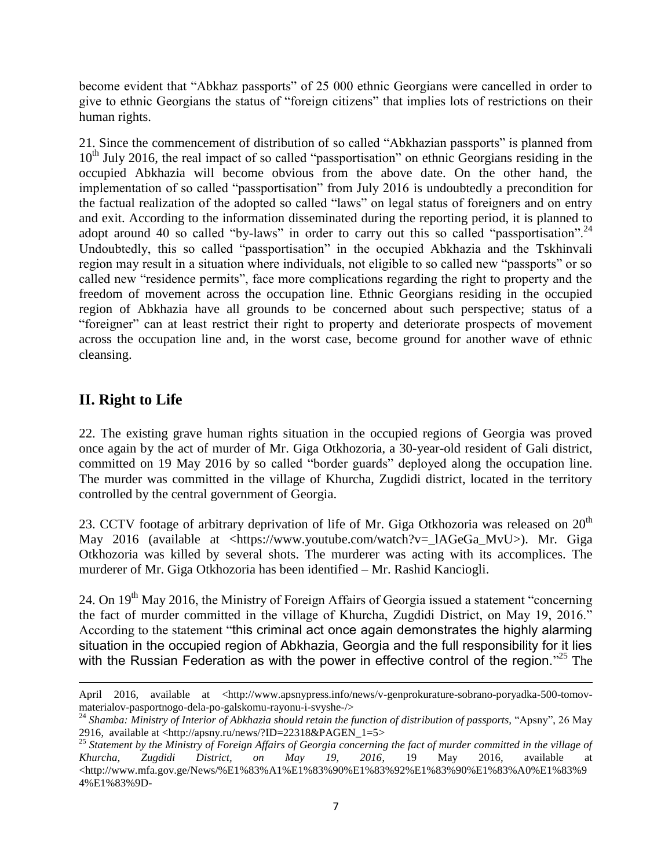become evident that "Abkhaz passports" of 25 000 ethnic Georgians were cancelled in order to give to ethnic Georgians the status of "foreign citizens" that implies lots of restrictions on their human rights.

21. Since the commencement of distribution of so called "Abkhazian passports" is planned from  $10<sup>th</sup>$  July 2016, the real impact of so called "passportisation" on ethnic Georgians residing in the occupied Abkhazia will become obvious from the above date. On the other hand, the implementation of so called "passportisation" from July 2016 is undoubtedly a precondition for the factual realization of the adopted so called "laws" on legal status of foreigners and on entry and exit. According to the information disseminated during the reporting period, it is planned to adopt around 40 so called "by-laws" in order to carry out this so called "passportisation".<sup>24</sup> Undoubtedly, this so called "passportisation" in the occupied Abkhazia and the Tskhinvali region may result in a situation where individuals, not eligible to so called new "passports" or so called new "residence permits", face more complications regarding the right to property and the freedom of movement across the occupation line. Ethnic Georgians residing in the occupied region of Abkhazia have all grounds to be concerned about such perspective; status of a "foreigner" can at least restrict their right to property and deteriorate prospects of movement across the occupation line and, in the worst case, become ground for another wave of ethnic cleansing.

# **II. Right to Life**

 $\overline{a}$ 

22. The existing grave human rights situation in the occupied regions of Georgia was proved once again by the act of murder of Mr. Giga Otkhozoria, a 30-year-old resident of Gali district, committed on 19 May 2016 by so called "border guards" deployed along the occupation line. The murder was committed in the village of Khurcha, Zugdidi district, located in the territory controlled by the central government of Georgia.

23. CCTV footage of arbitrary deprivation of life of Mr. Giga Otkhozoria was released on  $20<sup>th</sup>$ May 2016 (available at <https://www.youtube.com/watch?v=\_lAGeGa\_MvU>). Mr. Giga Otkhozoria was killed by several shots. The murderer was acting with its accomplices. The murderer of Mr. Giga Otkhozoria has been identified – Mr. Rashid Kanciogli.

24. On  $19<sup>th</sup>$  May 2016, the Ministry of Foreign Affairs of Georgia issued a statement "concerning" the fact of murder committed in the village of Khurcha, Zugdidi District, on May 19, 2016." According to the statement "this criminal act once again demonstrates the highly alarming situation in the occupied region of Abkhazia, Georgia and the full responsibility for it lies with the Russian Federation as with the power in effective control of the region."<sup>25</sup> The

April 2016, available at [<http://www.apsnypress.info/news/v-genprokurature-sobrano-poryadka-500-tomov](http://www.apsnypress.info/news/v-genprokurature-sobrano-poryadka-500-tomov-materialov-pasportnogo-dela-po-galskomu-rayonu-i-svyshe-/)[materialov-pasportnogo-dela-po-galskomu-rayonu-i-svyshe-/>](http://www.apsnypress.info/news/v-genprokurature-sobrano-poryadka-500-tomov-materialov-pasportnogo-dela-po-galskomu-rayonu-i-svyshe-/)

<sup>&</sup>lt;sup>24</sup> Shamba: Ministry of Interior of Abkhazia should retain the function of distribution of passports, "Apsny", 26 May 2916, available at [<http://apsny.ru/news/?ID=22318&PAGEN\\_1=5>](http://apsny.ru/news/?ID=22318&PAGEN_1=5)

<sup>25</sup> *Statement by the Ministry of Foreign Affairs of Georgia concerning the fact of murder committed in the village of Khurcha, Zugdidi District, on May 19, 2016*, 19 May 2016, available at <http://www.mfa.gov.ge/News/%E1%83%A1%E1%83%90%E1%83%92%E1%83%90%E1%83%A0%E1%83%9 4%E1%83%9D-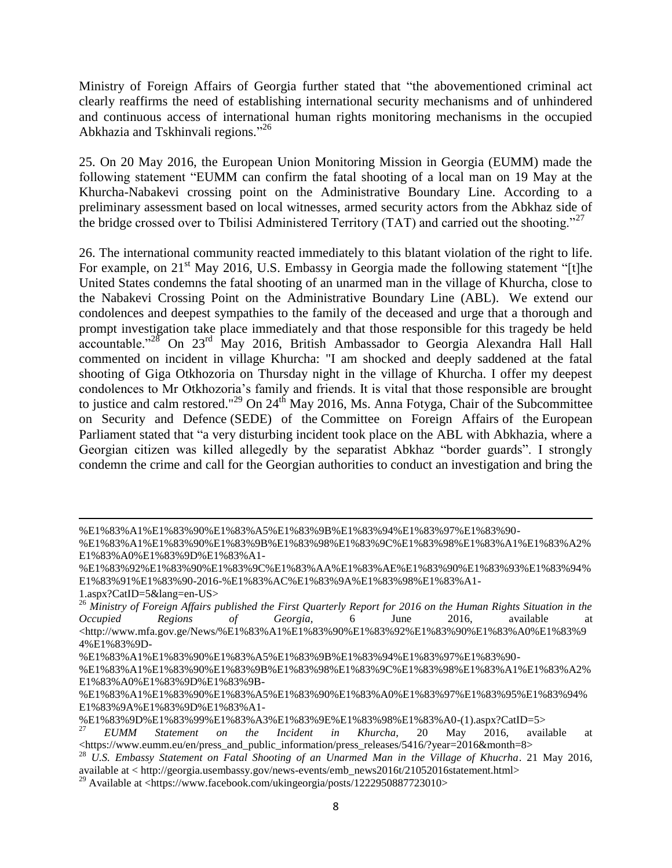Ministry of Foreign Affairs of Georgia further stated that "the abovementioned criminal act clearly reaffirms the need of establishing international security mechanisms and of unhindered and continuous access of international human rights monitoring mechanisms in the occupied Abkhazia and Tskhinvali regions."<sup>26</sup>

25. On 20 May 2016, the European Union Monitoring Mission in Georgia (EUMM) made the following statement "EUMM can confirm the fatal shooting of a local man on 19 May at the Khurcha-Nabakevi crossing point on the Administrative Boundary Line. According to a preliminary assessment based on local witnesses, armed security actors from the Abkhaz side of the bridge crossed over to Tbilisi Administered Territory (TAT) and carried out the shooting.<sup>"27</sup>

26. The international community reacted immediately to this blatant violation of the right to life. For example, on  $21<sup>st</sup>$  May 2016, U.S. Embassy in Georgia made the following statement "[t]he United States condemns the fatal shooting of an unarmed man in the village of Khurcha, close to the Nabakevi Crossing Point on the Administrative Boundary Line (ABL). We extend our condolences and deepest sympathies to the family of the deceased and urge that a thorough and prompt investigation take place immediately and that those responsible for this tragedy be held accountable."<sup>28</sup> On 23rd May 2016, British Ambassador to Georgia Alexandra Hall Hall commented on incident in village Khurcha: "I am shocked and deeply saddened at the fatal shooting of Giga Otkhozoria on Thursday night in the village of Khurcha. I offer my deepest condolences to Mr Otkhozoria's family and friends. It is vital that those responsible are brought to justice and calm restored."<sup>29</sup> On 24<sup>th</sup> May 2016, Ms. [Anna Fotyga,](https://en.wikipedia.org/wiki/Anna_Fotyga) Chair of the Subcommittee on Security and Defence (SEDE) of the [Committee on Foreign Affairs](https://en.wikipedia.org/wiki/Committee_on_Foreign_Affairs_(EU)) of the [European](https://en.wikipedia.org/wiki/European_Parliament)  [Parliament](https://en.wikipedia.org/wiki/European_Parliament) stated that "a very disturbing incident took place on the ABL with Abkhazia, where a Georgian citizen was killed allegedly by the separatist Abkhaz "border guards". I strongly condemn the crime and call for the Georgian authorities to conduct an investigation and bring the

l %E1%83%A1%E1%83%90%E1%83%A5%E1%83%9B%E1%83%94%E1%83%97%E1%83%90-

<sup>%</sup>E1%83%A1%E1%83%90%E1%83%9B%E1%83%98%E1%83%9C%E1%83%98%E1%83%A1%E1%83%A2% E1%83%A0%E1%83%9D%E1%83%A1-

<sup>%</sup>E1%83%92%E1%83%90%E1%83%9C%E1%83%AA%E1%83%AE%E1%83%90%E1%83%93%E1%83%94% E1%83%91%E1%83%90-2016-%E1%83%AC%E1%83%9A%E1%83%98%E1%83%A1-

<sup>1.</sup>aspx?CatID=5&lang=en-US>

<sup>26</sup> *Ministry of Foreign Affairs published the First Quarterly Report for 2016 on the Human Rights Situation in the Occupied Regions of Georgia,* 6 June 2016, available at  $\lt$ http://www.mfa.gov.ge/News/%E1%83%A1%E1%83%90%E1%83%92%E1%83%90%E1%83%A0%E1%83%9 4%E1%83%9D-

<sup>%</sup>E1%83%A1%E1%83%90%E1%83%A5%E1%83%9B%E1%83%94%E1%83%97%E1%83%90-

<sup>%</sup>E1%83%A1%E1%83%90%E1%83%9B%E1%83%98%E1%83%9C%E1%83%98%E1%83%A1%E1%83%A2% E1%83%A0%E1%83%9D%E1%83%9B-

<sup>%</sup>E1%83%A1%E1%83%90%E1%83%A5%E1%83%90%E1%83%A0%E1%83%97%E1%83%95%E1%83%94% E1%83%9A%E1%83%9D%E1%83%A1-

<sup>%</sup>E1%83%9D%E1%83%99%E1%83%A3%E1%83%9E%E1%83%98%E1%83%A0-(1).aspx?CatID=5>

<sup>27</sup> *EUMM Statement on the Incident in Khurcha,* 20 May 2016, available at <https://www.eumm.eu/en/press\_and\_public\_information/press\_releases/5416/?year=2016&month=8>

<sup>28</sup> *U.S. Embassy Statement on Fatal Shooting of an Unarmed Man in the Village of Khucrha*. 21 May 2016, available at < http://georgia.usembassy.gov/news-events/emb\_news2016t/21052016statement.html>

<sup>&</sup>lt;sup>29</sup> Available at <https://www.facebook.com/ukingeorgia/posts/1222950887723010>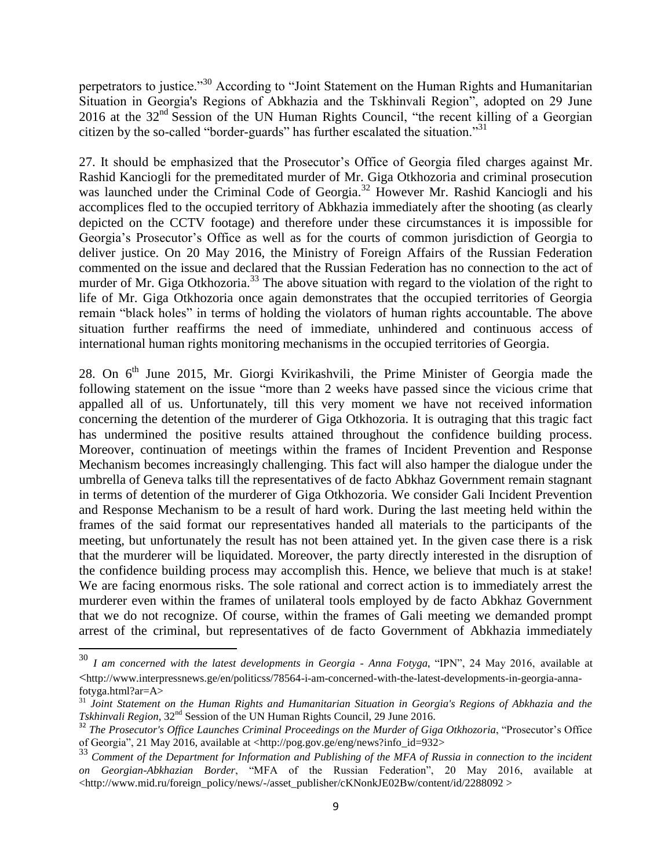perpetrators to justice."<sup>30</sup> According to "Joint Statement on the Human Rights and Humanitarian Situation in Georgia's Regions of Abkhazia and the Tskhinvali Region", adopted on 29 June 2016 at the 32<sup>nd</sup> Session of the UN Human Rights Council, "the recent killing of a Georgian citizen by the so-called "border-guards" has further escalated the situation."<sup>31</sup>

27. It should be emphasized that the Prosecutor's Office of Georgia filed charges against Mr. Rashid Kanciogli for the premeditated murder of Mr. Giga Otkhozoria and criminal prosecution was launched under the Criminal Code of Georgia.<sup>32</sup> However Mr. Rashid Kanciogli and his accomplices fled to the occupied territory of Abkhazia immediately after the shooting (as clearly depicted on the CCTV footage) and therefore under these circumstances it is impossible for Georgia's Prosecutor's Office as well as for the courts of common jurisdiction of Georgia to deliver justice. On 20 May 2016, the Ministry of Foreign Affairs of the Russian Federation commented on the issue and declared that the Russian Federation has no connection to the act of murder of Mr. Giga Otkhozoria.<sup>33</sup> The above situation with regard to the violation of the right to life of Mr. Giga Otkhozoria once again demonstrates that the occupied territories of Georgia remain "black holes" in terms of holding the violators of human rights accountable. The above situation further reaffirms the need of immediate, unhindered and continuous access of international human rights monitoring mechanisms in the occupied territories of Georgia.

28. On  $6<sup>th</sup>$  June 2015, Mr. Giorgi Kvirikashvili, the Prime Minister of Georgia made the following statement on the issue "more than 2 weeks have passed since the vicious crime that appalled all of us. Unfortunately, till this very moment we have not received information concerning the detention of the murderer of Giga Otkhozoria. It is outraging that this tragic fact has undermined the positive results attained throughout the confidence building process. Moreover, continuation of meetings within the frames of Incident Prevention and Response Mechanism becomes increasingly challenging. This fact will also hamper the dialogue under the umbrella of Geneva talks till the representatives of de facto Abkhaz Government remain stagnant in terms of detention of the murderer of Giga Otkhozoria. We consider Gali Incident Prevention and Response Mechanism to be a result of hard work. During the last meeting held within the frames of the said format our representatives handed all materials to the participants of the meeting, but unfortunately the result has not been attained yet. In the given case there is a risk that the murderer will be liquidated. Moreover, the party directly interested in the disruption of the confidence building process may accomplish this. Hence, we believe that much is at stake! We are facing enormous risks. The sole rational and correct action is to immediately arrest the murderer even within the frames of unilateral tools employed by de facto Abkhaz Government that we do not recognize. Of course, within the frames of Gali meeting we demanded prompt arrest of the criminal, but representatives of de facto Government of Abkhazia immediately

l

<sup>30</sup> *I am concerned with the latest developments in Georgia - Anna Fotyga***,** "IPN", 24 May 2016, available at <http://www.interpressnews.ge/en/politicss/78564-i-am-concerned-with-the-latest-developments-in-georgia-annafotyga.html?ar=A>

<sup>31</sup> *Joint Statement on the Human Rights and Humanitarian Situation in Georgia's Regions of Abkhazia and the Tskhinvali Region*,  $32<sup>nd</sup>$  Session of the UN Human Rights Council, 29 June 2016.

<sup>&</sup>lt;sup>32</sup> The Prosecutor's Office Launches Criminal Proceedings on the Murder of Giga Otkhozoria, "Prosecutor's Office of Georgia", 21 May 2016, available at <http://pog.gov.ge/eng/news?info\_id=932>

<sup>&</sup>lt;sup>33</sup> Comment of the Department for Information and Publishing of the MFA of Russia in connection to the incident *on Georgian-Abkhazian Border*, "MFA of the Russian Federation", 20 May 2016, available at <http://www.mid.ru/foreign\_policy/news/-/asset\_publisher/cKNonkJE02Bw/content/id/2288092 >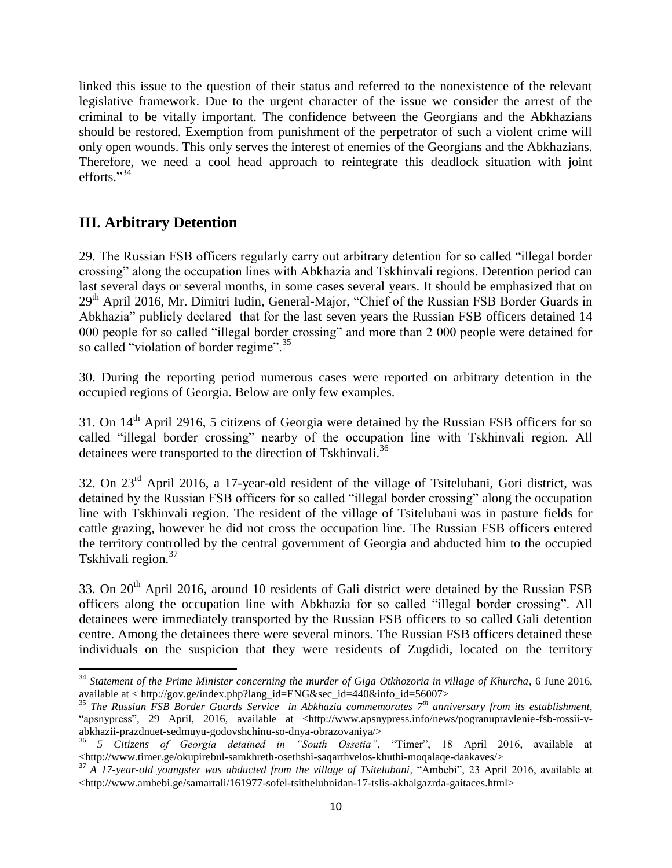linked this issue to the question of their status and referred to the nonexistence of the relevant legislative framework. Due to the urgent character of the issue we consider the arrest of the criminal to be vitally important. The confidence between the Georgians and the Abkhazians should be restored. Exemption from punishment of the perpetrator of such a violent crime will only open wounds. This only serves the interest of enemies of the Georgians and the Abkhazians. Therefore, we need a cool head approach to reintegrate this deadlock situation with joint efforts."<sup>34</sup>

# **III. Arbitrary Detention**

 $\overline{\phantom{a}}$ 

29. The Russian FSB officers regularly carry out arbitrary detention for so called "illegal border crossing" along the occupation lines with Abkhazia and Tskhinvali regions. Detention period can last several days or several months, in some cases several years. It should be emphasized that on 29<sup>th</sup> April 2016, Mr. Dimitri Iudin, General-Major, "Chief of the Russian FSB Border Guards in Abkhazia" publicly declared that for the last seven years the Russian FSB officers detained 14 000 people for so called "illegal border crossing" and more than 2 000 people were detained for so called "violation of border regime".<sup>35</sup>

30. During the reporting period numerous cases were reported on arbitrary detention in the occupied regions of Georgia. Below are only few examples.

31. On 14<sup>th</sup> April 2916, 5 citizens of Georgia were detained by the Russian FSB officers for so called "illegal border crossing" nearby of the occupation line with Tskhinvali region. All detainees were transported to the direction of Tskhinvali.<sup>36</sup>

32. On 23<sup>rd</sup> April 2016, a 17-year-old resident of the village of Tsitelubani, Gori district, was detained by the Russian FSB officers for so called "illegal border crossing" along the occupation line with Tskhinvali region. The resident of the village of Tsitelubani was in pasture fields for cattle grazing, however he did not cross the occupation line. The Russian FSB officers entered the territory controlled by the central government of Georgia and abducted him to the occupied Tskhivali region. 37

33. On 20<sup>th</sup> April 2016, around 10 residents of Gali district were detained by the Russian FSB officers along the occupation line with Abkhazia for so called "illegal border crossing". All detainees were immediately transported by the Russian FSB officers to so called Gali detention centre. Among the detainees there were several minors. The Russian FSB officers detained these individuals on the suspicion that they were residents of Zugdidi, located on the territory

<sup>&</sup>lt;sup>34</sup> Statement of the Prime Minister concerning the murder of Giga Otkhozoria in village of Khurcha, 6 June 2016, available at < http://gov.ge/index.php?lang\_id=ENG&sec\_id=440&info\_id=56007>

<sup>35</sup> *The Russian FSB Border Guards Service in Abkhazia commemorates 7th anniversary from its establishment,*  "apsnypress"*,* 29 April, 2016, available at <http://www.apsnypress.info/news/pogranupravlenie-fsb-rossii-vabkhazii-prazdnuet-sedmuyu-godovshchinu-so-dnya-obrazovaniya/>

<sup>36</sup> *5 Citizens of Georgia detained in "South Ossetia"*, "Timer", 18 April 2016, available at [<http://www.timer.ge/okupirebul-samkhreth-osethshi-saqarthvelos-khuthi-moqalaqe-daakaves/>](http://www.timer.ge/okupirebul-samkhreth-osethshi-saqarthvelos-khuthi-moqalaqe-daakaves/)

<sup>37</sup> *A 17-year-old youngster was abducted from the village of Tsitelubani*, "Ambebi", 23 April 2016, available at [<http://www.ambebi.ge/samartali/161977-sofel-tsithelubnidan-17-tslis-akhalgazrda-gaitaces.html>](http://www.ambebi.ge/samartali/161977-sofel-tsithelubnidan-17-tslis-akhalgazrda-gaitaces.html)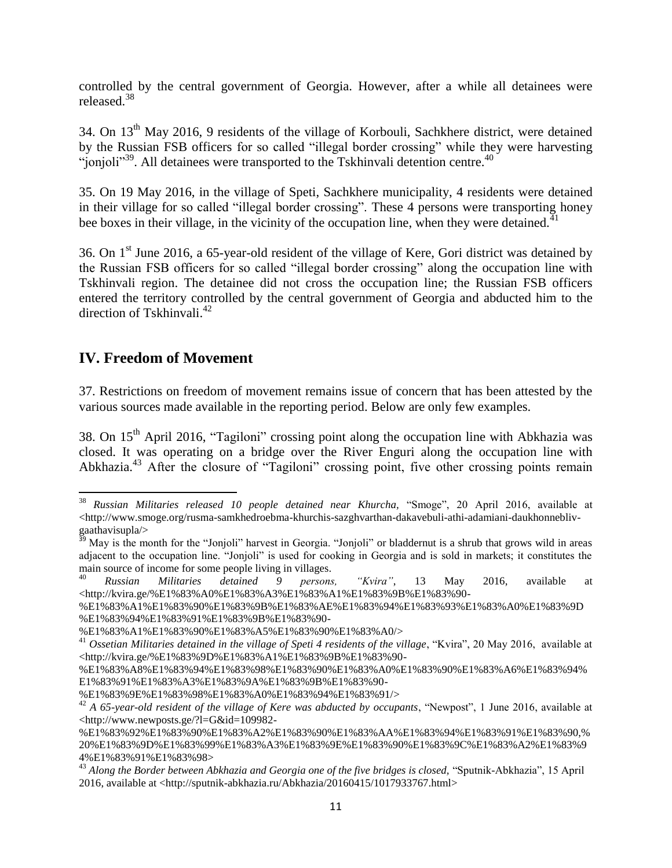controlled by the central government of Georgia. However, after a while all detainees were released.<sup>38</sup>

34. On 13th May 2016, 9 residents of the village of Korbouli, Sachkhere district, were detained by the Russian FSB officers for so called "illegal border crossing" while they were harvesting "jonjoli"<sup>39</sup>. All detainees were transported to the Tskhinvali detention centre.<sup>40</sup>

35. On 19 May 2016, in the village of Speti, Sachkhere municipality, 4 residents were detained in their village for so called "illegal border crossing". These 4 persons were transporting honey bee boxes in their village, in the vicinity of the occupation line, when they were detained.<sup>41</sup>

36. On 1st June 2016, a 65-year-old resident of the village of Kere, Gori district was detained by the Russian FSB officers for so called "illegal border crossing" along the occupation line with Tskhinvali region. The detainee did not cross the occupation line; the Russian FSB officers entered the territory controlled by the central government of Georgia and abducted him to the direction of Tskhinvali.<sup>42</sup>

# **IV. Freedom of Movement**

37. Restrictions on freedom of movement remains issue of concern that has been attested by the various sources made available in the reporting period. Below are only few examples.

38. On  $15<sup>th</sup>$  April 2016, "Tagiloni" crossing point along the occupation line with Abkhazia was closed. It was operating on a bridge over the River Enguri along the occupation line with Abkhazia.<sup>43</sup> After the closure of "Tagiloni" crossing point, five other crossing points remain

 $\overline{a}$ <sup>38</sup> *Russian Militaries released 10 people detained near Khurcha,* "Smoge", 20 April 2016, available at [<http://www.smoge.org/rusma-samkhedroebma-khurchis-sazghvarthan-dakavebuli-athi-adamiani-daukhonnebliv](http://www.smoge.org/rusma-samkhedroebma-khurchis-sazghvarthan-dakavebuli-athi-adamiani-daukhonnebliv-gaathavisupla/)[gaathavisupla/>](http://www.smoge.org/rusma-samkhedroebma-khurchis-sazghvarthan-dakavebuli-athi-adamiani-daukhonnebliv-gaathavisupla/)

<sup>&</sup>lt;sup>39</sup> May is the month for the "Jonjoli" harvest in Georgia. "Jonjoli" or bladdernut is a shrub that grows wild in areas adjacent to the occupation line. "Jonjoli" is used for cooking in Georgia and is sold in markets; it constitutes the main source of income for some people living in villages.

<sup>40</sup> *Russian Militaries detained 9 persons, "Kvira"*, 13 May 2016, available at [<http://kvira.ge/%E1%83%A0%E1%83%A3%E1%83%A1%E1%83%9B%E1%83%90-](http://kvira.ge/%E1%83%A0%E1%83%A3%E1%83%A1%E1%83%9B%E1%83%90-%E1%83%A1%E1%83%90%E1%83%9B%E1%83%AE%E1%83%94%E1%83%93%E1%83%A0%E1%83%9D%E1%83%94%E1%83%91%E1%83%9B%E1%83%90-%E1%83%A1%E1%83%90%E1%83%A5%E1%83%90%E1%83%A0/)

[<sup>%</sup>E1%83%A1%E1%83%90%E1%83%9B%E1%83%AE%E1%83%94%E1%83%93%E1%83%A0%E1%83%9D](http://kvira.ge/%E1%83%A0%E1%83%A3%E1%83%A1%E1%83%9B%E1%83%90-%E1%83%A1%E1%83%90%E1%83%9B%E1%83%AE%E1%83%94%E1%83%93%E1%83%A0%E1%83%9D%E1%83%94%E1%83%91%E1%83%9B%E1%83%90-%E1%83%A1%E1%83%90%E1%83%A5%E1%83%90%E1%83%A0/) [%E1%83%94%E1%83%91%E1%83%9B%E1%83%90-](http://kvira.ge/%E1%83%A0%E1%83%A3%E1%83%A1%E1%83%9B%E1%83%90-%E1%83%A1%E1%83%90%E1%83%9B%E1%83%AE%E1%83%94%E1%83%93%E1%83%A0%E1%83%9D%E1%83%94%E1%83%91%E1%83%9B%E1%83%90-%E1%83%A1%E1%83%90%E1%83%A5%E1%83%90%E1%83%A0/)

[<sup>%</sup>E1%83%A1%E1%83%90%E1%83%A5%E1%83%90%E1%83%A0/>](http://kvira.ge/%E1%83%A0%E1%83%A3%E1%83%A1%E1%83%9B%E1%83%90-%E1%83%A1%E1%83%90%E1%83%9B%E1%83%AE%E1%83%94%E1%83%93%E1%83%A0%E1%83%9D%E1%83%94%E1%83%91%E1%83%9B%E1%83%90-%E1%83%A1%E1%83%90%E1%83%A5%E1%83%90%E1%83%A0/)

<sup>&</sup>lt;sup>41</sup> Ossetian Militaries detained in the village of Speti 4 residents of the village, "Kvira", 20 May 2016, available at [<http://kvira.ge/%E1%83%9D%E1%83%A1%E1%83%9B%E1%83%90-](http://kvira.ge/%E1%83%9D%E1%83%A1%E1%83%9B%E1%83%90-%E1%83%A8%E1%83%94%E1%83%98%E1%83%90%E1%83%A0%E1%83%90%E1%83%A6%E1%83%94%E1%83%91%E1%83%A3%E1%83%9A%E1%83%9B%E1%83%90-%E1%83%9E%E1%83%98%E1%83%A0%E1%83%94%E1%83%91/)

[<sup>%</sup>E1%83%A8%E1%83%94%E1%83%98%E1%83%90%E1%83%A0%E1%83%90%E1%83%A6%E1%83%94%](http://kvira.ge/%E1%83%9D%E1%83%A1%E1%83%9B%E1%83%90-%E1%83%A8%E1%83%94%E1%83%98%E1%83%90%E1%83%A0%E1%83%90%E1%83%A6%E1%83%94%E1%83%91%E1%83%A3%E1%83%9A%E1%83%9B%E1%83%90-%E1%83%9E%E1%83%98%E1%83%A0%E1%83%94%E1%83%91/) [E1%83%91%E1%83%A3%E1%83%9A%E1%83%9B%E1%83%90-](http://kvira.ge/%E1%83%9D%E1%83%A1%E1%83%9B%E1%83%90-%E1%83%A8%E1%83%94%E1%83%98%E1%83%90%E1%83%A0%E1%83%90%E1%83%A6%E1%83%94%E1%83%91%E1%83%A3%E1%83%9A%E1%83%9B%E1%83%90-%E1%83%9E%E1%83%98%E1%83%A0%E1%83%94%E1%83%91/)

[<sup>%</sup>E1%83%9E%E1%83%98%E1%83%A0%E1%83%94%E1%83%91/>](http://kvira.ge/%E1%83%9D%E1%83%A1%E1%83%9B%E1%83%90-%E1%83%A8%E1%83%94%E1%83%98%E1%83%90%E1%83%A0%E1%83%90%E1%83%A6%E1%83%94%E1%83%91%E1%83%A3%E1%83%9A%E1%83%9B%E1%83%90-%E1%83%9E%E1%83%98%E1%83%A0%E1%83%94%E1%83%91/)

<sup>&</sup>lt;sup>42</sup> *A 65-year-old resident of the village of Kere was abducted by occupants*, "Newpost", 1 June 2016, available at [<http://www.newposts.ge/?l=G&id=109982-](http://www.newposts.ge/?l=G&id=109982-%E1%83%92%E1%83%90%E1%83%A2%E1%83%90%E1%83%AA%E1%83%94%E1%83%91%E1%83%90,%20%E1%83%9D%E1%83%99%E1%83%A3%E1%83%9E%E1%83%90%E1%83%9C%E1%83%A2%E1%83%94%E1%83%91%E1%83%98)

[<sup>%</sup>E1%83%92%E1%83%90%E1%83%A2%E1%83%90%E1%83%AA%E1%83%94%E1%83%91%E1%83%90,%](http://www.newposts.ge/?l=G&id=109982-%E1%83%92%E1%83%90%E1%83%A2%E1%83%90%E1%83%AA%E1%83%94%E1%83%91%E1%83%90,%20%E1%83%9D%E1%83%99%E1%83%A3%E1%83%9E%E1%83%90%E1%83%9C%E1%83%A2%E1%83%94%E1%83%91%E1%83%98) [20%E1%83%9D%E1%83%99%E1%83%A3%E1%83%9E%E1%83%90%E1%83%9C%E1%83%A2%E1%83%9](http://www.newposts.ge/?l=G&id=109982-%E1%83%92%E1%83%90%E1%83%A2%E1%83%90%E1%83%AA%E1%83%94%E1%83%91%E1%83%90,%20%E1%83%9D%E1%83%99%E1%83%A3%E1%83%9E%E1%83%90%E1%83%9C%E1%83%A2%E1%83%94%E1%83%91%E1%83%98) [4%E1%83%91%E1%83%98>](http://www.newposts.ge/?l=G&id=109982-%E1%83%92%E1%83%90%E1%83%A2%E1%83%90%E1%83%AA%E1%83%94%E1%83%91%E1%83%90,%20%E1%83%9D%E1%83%99%E1%83%A3%E1%83%9E%E1%83%90%E1%83%9C%E1%83%A2%E1%83%94%E1%83%91%E1%83%98)

<sup>43</sup> *Along the Border between Abkhazia and Georgia one of the five bridges is closed,* "Sputnik-Abkhazia", 15 April 2016, available at [<http://sputnik-abkhazia.ru/Abkhazia/20160415/1017933767.html>](http://sputnik-abkhazia.ru/Abkhazia/20160415/1017933767.html)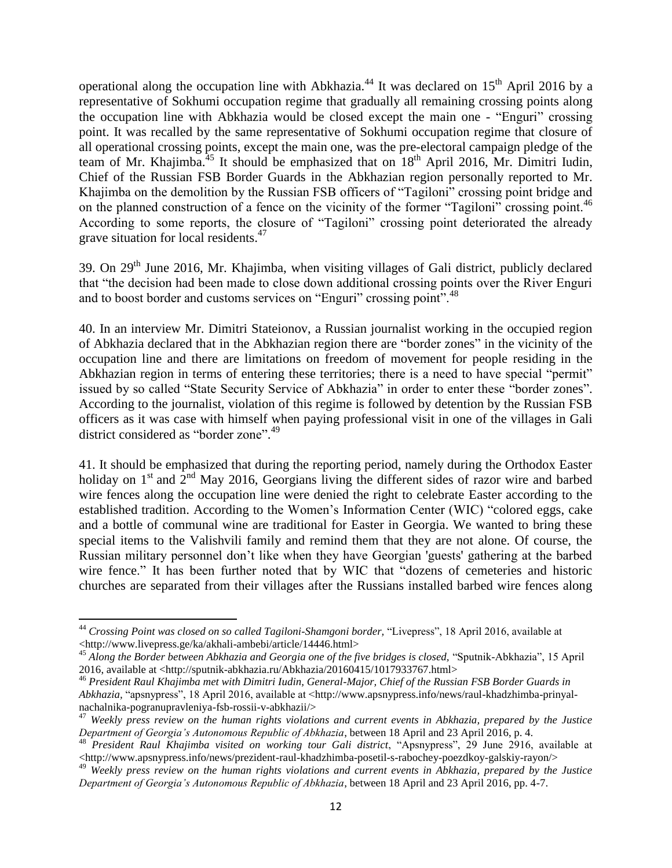operational along the occupation line with Abkhazia.<sup>44</sup> It was declared on  $15<sup>th</sup>$  April 2016 by a representative of Sokhumi occupation regime that gradually all remaining crossing points along the occupation line with Abkhazia would be closed except the main one - "Enguri" crossing point. It was recalled by the same representative of Sokhumi occupation regime that closure of all operational crossing points, except the main one, was the pre-electoral campaign pledge of the team of Mr. Khajimba.<sup>45</sup> It should be emphasized that on  $18<sup>th</sup>$  April 2016, Mr. Dimitri Iudin, Chief of the Russian FSB Border Guards in the Abkhazian region personally reported to Mr. Khajimba on the demolition by the Russian FSB officers of "Tagiloni" crossing point bridge and on the planned construction of a fence on the vicinity of the former "Tagiloni" crossing point.<sup>46</sup> According to some reports, the closure of "Tagiloni" crossing point deteriorated the already grave situation for local residents.<sup>47</sup>

39. On 29th June 2016, Mr. Khajimba, when visiting villages of Gali district, publicly declared that "the decision had been made to close down additional crossing points over the River Enguri and to boost border and customs services on "Enguri" crossing point".<sup>48</sup>

40. In an interview Mr. Dimitri Stateionov, a Russian journalist working in the occupied region of Abkhazia declared that in the Abkhazian region there are "border zones" in the vicinity of the occupation line and there are limitations on freedom of movement for people residing in the Abkhazian region in terms of entering these territories; there is a need to have special "permit" issued by so called "State Security Service of Abkhazia" in order to enter these "border zones". According to the journalist, violation of this regime is followed by detention by the Russian FSB officers as it was case with himself when paying professional visit in one of the villages in Gali district considered as "border zone".<sup>49</sup>

41. It should be emphasized that during the reporting period, namely during the Orthodox Easter holiday on  $1<sup>st</sup>$  and  $2<sup>nd</sup>$  May 2016, Georgians living the different sides of razor wire and barbed wire fences along the occupation line were denied the right to celebrate Easter according to the established tradition. According to the Women's Information Center (WIC) "colored eggs, cake and a bottle of communal wine are traditional for Easter in Georgia. We wanted to bring these special items to the Valishvili family and remind them that they are not alone. Of course, the Russian military personnel don't like when they have Georgian 'guests' gathering at the barbed wire fence." It has been further noted that by WIC that "dozens of cemeteries and historic churches are separated from their villages after the Russians installed barbed wire fences along

 $\overline{\phantom{a}}$ 

<sup>&</sup>lt;sup>44</sup> Crossing Point was closed on so called Tagiloni-Shamgoni border, "Livepress", 18 April 2016, available at [<http://www.livepress.ge/ka/akhali-ambebi/article/14446.html>](http://www.livepress.ge/ka/akhali-ambebi/article/14446.html)

<sup>45</sup> *Along the Border between Abkhazia and Georgia one of the five bridges is closed,* "Sputnik-Abkhazia", 15 April 2016, available at [<http://sputnik-abkhazia.ru/Abkhazia/20160415/1017933767.html>](http://sputnik-abkhazia.ru/Abkhazia/20160415/1017933767.html)

<sup>46</sup> *President Raul Khajimba met with Dimitri Iudin, General-Major, Chief of the Russian FSB Border Guards in Abkhazia,* "apsnypress", 18 April 2016, available at [<http://www.apsnypress.info/news/raul-khadzhimba-prinyal](http://www.apsnypress.info/news/raul-khadzhimba-prinyal-nachalnika-pogranupravleniya-fsb-rossii-v-abkhazii/)[nachalnika-pogranupravleniya-fsb-rossii-v-abkhazii/>](http://www.apsnypress.info/news/raul-khadzhimba-prinyal-nachalnika-pogranupravleniya-fsb-rossii-v-abkhazii/)

<sup>47</sup> *Weekly press review on the human rights violations and current events in Abkhazia, prepared by the Justice Department of Georgia's Autonomous Republic of Abkhazia*, between 18 April and 23 April 2016, p. 4.

<sup>&</sup>lt;sup>48</sup> President Raul Khajimba visited on working tour Gali district, "Apsnypress", 29 June 2916, available at [<http://www.apsnypress.info/news/prezident-raul-khadzhimba-posetil-s-rabochey-poezdkoy-galskiy-rayon/>](http://www.apsnypress.info/news/prezident-raul-khadzhimba-posetil-s-rabochey-poezdkoy-galskiy-rayon/)

<sup>49</sup> *Weekly press review on the human rights violations and current events in Abkhazia, prepared by the Justice Department of Georgia's Autonomous Republic of Abkhazia*, between 18 April and 23 April 2016, pp. 4-7.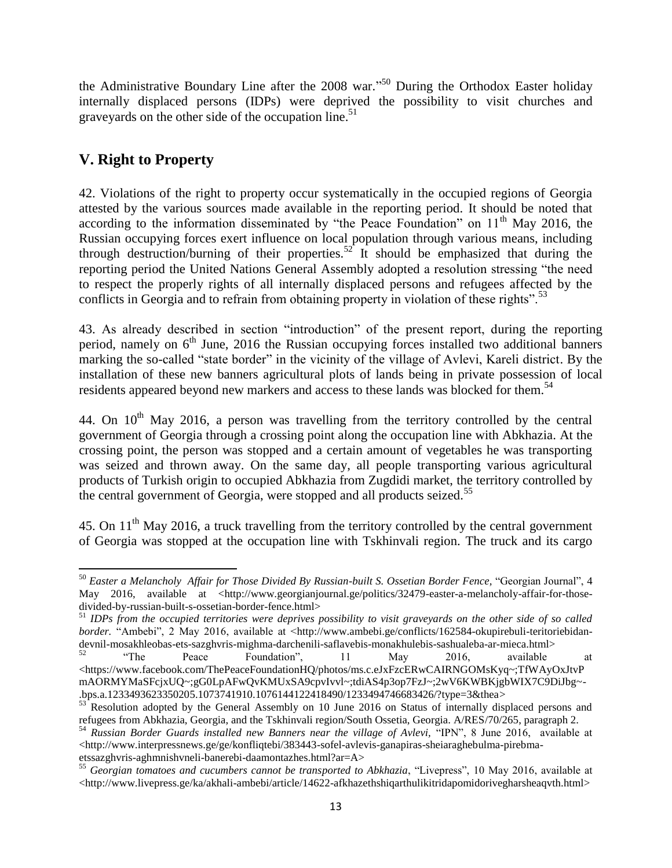the Administrative Boundary Line after the 2008 war."<sup>50</sup> During the Orthodox Easter holiday internally displaced persons (IDPs) were deprived the possibility to visit churches and graveyards on the other side of the occupation line. 51

# **V. Right to Property**

42. Violations of the right to property occur systematically in the occupied regions of Georgia attested by the various sources made available in the reporting period. It should be noted that according to the information disseminated by "the Peace Foundation" on  $11<sup>th</sup>$  May 2016, the Russian occupying forces exert influence on local population through various means, including through destruction/burning of their properties.<sup>52</sup> It should be emphasized that during the reporting period the United Nations General Assembly adopted a resolution stressing "the need to respect the properly rights of all internally displaced persons and refugees affected by the conflicts in Georgia and to refrain from obtaining property in violation of these rights".<sup>53</sup>

43. As already described in section "introduction" of the present report, during the reporting period, namely on 6<sup>th</sup> June, 2016 the Russian occupying forces installed two additional banners marking the so-called "state border" in the vicinity of the village of Avlevi, Kareli district. By the installation of these new banners agricultural plots of lands being in private possession of local residents appeared beyond new markers and access to these lands was blocked for them.<sup>54</sup>

44. On  $10<sup>th</sup>$  May 2016, a person was travelling from the territory controlled by the central government of Georgia through a crossing point along the occupation line with Abkhazia. At the crossing point, the person was stopped and a certain amount of vegetables he was transporting was seized and thrown away. On the same day, all people transporting various agricultural products of Turkish origin to occupied Abkhazia from Zugdidi market, the territory controlled by the central government of Georgia, were stopped and all products seized.<sup>55</sup>

45. On 11<sup>th</sup> May 2016, a truck travelling from the territory controlled by the central government of Georgia was stopped at the occupation line with Tskhinvali region. The truck and its cargo

 $\overline{\phantom{a}}$ <sup>50</sup> Easter a Melancholy Affair for Those Divided By Russian-built S. Ossetian Border Fence, "Georgian Journal", 4 May 2016, available at <http://www.georgianiournal.ge/politics/32479-easter-a-melancholy-affair-for-those[divided-by-russian-built-s-ossetian-border-fence.html>](http://www.georgianjournal.ge/politics/32479-easter-a-melancholy-affair-for-those-divided-by-russian-built-s-ossetian-border-fence.html)

<sup>51</sup> *IDPs from the occupied territories were deprives possibility to visit graveyards on the other side of so called border.* "Ambebi", 2 May 2016, available at [<http://www.ambebi.ge/conflicts/162584-okupirebuli-teritoriebidan](http://www.ambebi.ge/conflicts/162584-okupirebuli-teritoriebidan-devnil-mosakhleobas-ets-sazghvris-mighma-darchenili-saflavebis-monakhulebis-sashualeba-ar-mieca.html)[devnil-mosakhleobas-ets-sazghvris-mighma-darchenili-saflavebis-monakhulebis-sashualeba-ar-mieca.html>](http://www.ambebi.ge/conflicts/162584-okupirebuli-teritoriebidan-devnil-mosakhleobas-ets-sazghvris-mighma-darchenili-saflavebis-monakhulebis-sashualeba-ar-mieca.html)

 $52$  "The Peace Foundation", 11 May 2016, available at [<https://www.facebook.com/ThePeaceFoundationHQ/photos/ms.c.eJxFzcERwCAIRNGOMsKyq~;TfWAyOxJtvP](https://www.facebook.com/ThePeaceFoundationHQ/photos/ms.c.eJxFzcERwCAIRNGOMsKyq~;TfWAyOxJtvPmAORMYMaSFcjxUQ~;gG0LpAFwQvKMUxSA9cpvIvvl~;tdiAS4p3op7FzJ~;2wV6KWBKjgbWIX7C9DiJbg~-.bps.a.1233493623350205.1073741910.1076144122418490/1233494746683426/?type=3&thea) [mAORMYMaSFcjxUQ~;gG0LpAFwQvKMUxSA9cpvIvvl~;tdiAS4p3op7FzJ~;2wV6KWBKjgbWIX7C9DiJbg~-](https://www.facebook.com/ThePeaceFoundationHQ/photos/ms.c.eJxFzcERwCAIRNGOMsKyq~;TfWAyOxJtvPmAORMYMaSFcjxUQ~;gG0LpAFwQvKMUxSA9cpvIvvl~;tdiAS4p3op7FzJ~;2wV6KWBKjgbWIX7C9DiJbg~-.bps.a.1233493623350205.1073741910.1076144122418490/1233494746683426/?type=3&thea) [.bps.a.1233493623350205.1073741910.1076144122418490/1233494746683426/?type=3&thea>](https://www.facebook.com/ThePeaceFoundationHQ/photos/ms.c.eJxFzcERwCAIRNGOMsKyq~;TfWAyOxJtvPmAORMYMaSFcjxUQ~;gG0LpAFwQvKMUxSA9cpvIvvl~;tdiAS4p3op7FzJ~;2wV6KWBKjgbWIX7C9DiJbg~-.bps.a.1233493623350205.1073741910.1076144122418490/1233494746683426/?type=3&thea)

<sup>&</sup>lt;sup>53</sup> Resolution adopted by the General Assembly on 10 June 2016 on Status of internally displaced persons and refugees from Abkhazia, Georgia, and the Tskhinvali region/South Ossetia, Georgia. A/RES/70/265, paragraph 2.

<sup>54</sup> *Russian Border Guards installed new Banners near the village of Avlevi,* "IPN", 8 June 2016, available at  $\langle$ http://www.interpressnews.ge/ge/konfliqtebi/383443-sofel-avlevis-ganapiras-sheiaraghebulma-pirebma[etssazghvris-aghmnishvneli-banerebi-daamontazhes.html?ar=A>](http://www.interpressnews.ge/ge/konfliqtebi/383443-sofel-avlevis-ganapiras-sheiaraghebulma-pirebma-etssazghvris-aghmnishvneli-banerebi-daamontazhes.html?ar=A)

<sup>55</sup> *Georgian tomatoes and cucumbers cannot be transported to Abkhazia*, "Livepress", 10 May 2016, available at [<http://www.livepress.ge/ka/akhali-ambebi/article/14622-afkhazethshiqarthulikitridapomidorivegharsheaqvth.html>](http://www.livepress.ge/ka/akhali-ambebi/article/14622-afkhazethshiqarthulikitridapomidorivegharsheaqvth.html)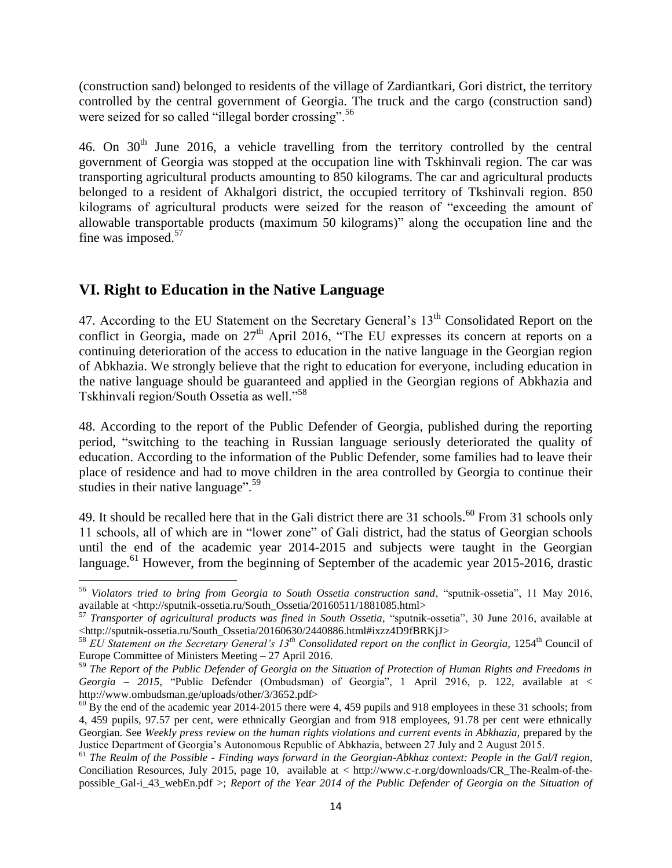(construction sand) belonged to residents of the village of Zardiantkari, Gori district, the territory controlled by the central government of Georgia. The truck and the cargo (construction sand) were seized for so called "illegal border crossing".<sup>56</sup>

46. On  $30<sup>th</sup>$  June 2016, a vehicle travelling from the territory controlled by the central government of Georgia was stopped at the occupation line with Tskhinvali region. The car was transporting agricultural products amounting to 850 kilograms. The car and agricultural products belonged to a resident of Akhalgori district, the occupied territory of Tkshinvali region. 850 kilograms of agricultural products were seized for the reason of "exceeding the amount of allowable transportable products (maximum 50 kilograms)" along the occupation line and the fine was imposed.<sup>57</sup>

# **VI. Right to Education in the Native Language**

 $\overline{\phantom{a}}$ 

47. According to the EU Statement on the Secretary General's 13<sup>th</sup> Consolidated Report on the conflict in Georgia, made on  $27<sup>th</sup>$  April 2016, "The EU expresses its concern at reports on a continuing deterioration of the access to education in the native language in the Georgian region of Abkhazia. We strongly believe that the right to education for everyone, including education in the native language should be guaranteed and applied in the Georgian regions of Abkhazia and Tskhinvali region/South Ossetia as well."<sup>58</sup>

48. According to the report of the Public Defender of Georgia, published during the reporting period, "switching to the teaching in Russian language seriously deteriorated the quality of education. According to the information of the Public Defender, some families had to leave their place of residence and had to move children in the area controlled by Georgia to continue their studies in their native language". $59$ 

49. It should be recalled here that in the Gali district there are 31 schools.<sup>60</sup> From 31 schools only 11 schools, all of which are in "lower zone" of Gali district, had the status of Georgian schools until the end of the academic year 2014-2015 and subjects were taught in the Georgian language.<sup>61</sup> However, from the beginning of September of the academic year 2015-2016, drastic

<sup>56</sup> *Violators tried to bring from Georgia to South Ossetia construction sand*, "sputnik-ossetia", 11 May 2016, available at [<http://sputnik-ossetia.ru/South\\_Ossetia/20160511/1881085.html>](http://sputnik-ossetia.ru/South_Ossetia/20160511/1881085.html)

<sup>57</sup> *Transporter of agricultural products was fined in South Ossetia,* "sputnik-ossetia", 30 June 2016, available at [<http://sputnik-ossetia.ru/South\\_Ossetia/20160630/2440886.html#ixzz4D9fBRKjJ>](http://sputnik-ossetia.ru/South_Ossetia/20160630/2440886.html#ixzz4D9fBRKjJ)

<sup>58</sup> *EU Statement on the Secretary General's 13th Consolidated report on the conflict in Georgia,* 1254th Council of Europe Committee of Ministers Meeting – 27 April 2016.

<sup>59</sup> *The Report of the Public Defender of Georgia on the Situation of Protection of Human Rights and Freedoms in Georgia – 2015*, "Public Defender (Ombudsman) of Georgia", 1 April 2916, p. 122, available at < http://www.ombudsman.ge/uploads/other/3/3652.pdf>

 $^{60}$  By the end of the academic year 2014-2015 there were 4, 459 pupils and 918 employees in these 31 schools; from 4, 459 pupils, 97.57 per cent, were ethnically Georgian and from 918 employees, 91.78 per cent were ethnically Georgian. See *Weekly press review on the human rights violations and current events in Abkhazia,* prepared by the Justice Department of Georgia's Autonomous Republic of Abkhazia, between 27 July and 2 August 2015.

<sup>61</sup> *The Realm of the Possible - Finding ways forward in the Georgian-Abkhaz context: People in the Gal/I region,* Conciliation Resources, July 2015, page 10, available at < http://www.c-r.org/downloads/CR\_The-Realm-of-thepossible\_Gal-i\_43\_webEn.pdf >; *Report of the Year 2014 of the Public Defender of Georgia on the Situation of*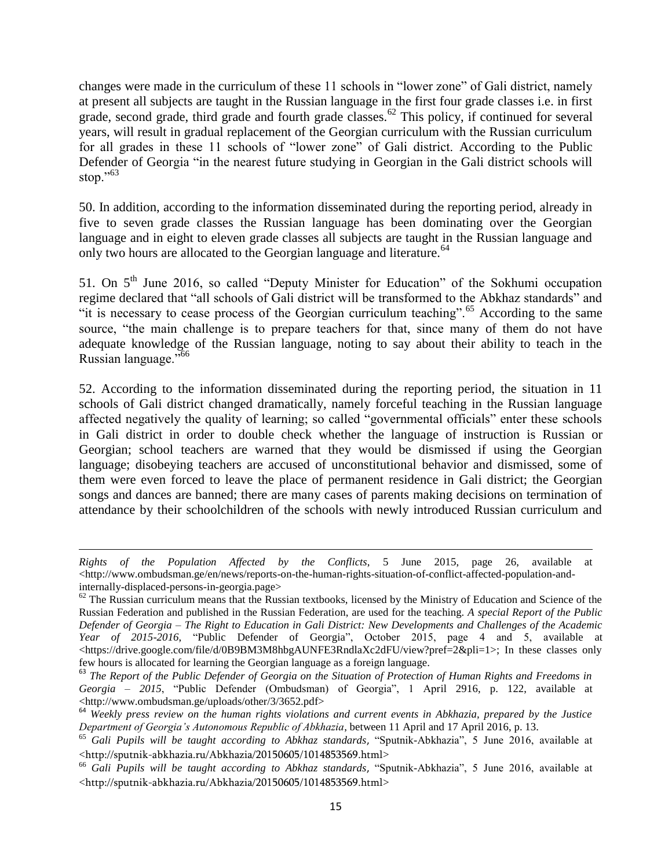changes were made in the curriculum of these 11 schools in "lower zone" of Gali district, namely at present all subjects are taught in the Russian language in the first four grade classes i.e. in first grade, second grade, third grade and fourth grade classes.<sup>62</sup> This policy, if continued for several years, will result in gradual replacement of the Georgian curriculum with the Russian curriculum for all grades in these 11 schools of "lower zone" of Gali district. According to the Public Defender of Georgia "in the nearest future studying in Georgian in the Gali district schools will stop." $63$ 

50. In addition, according to the information disseminated during the reporting period, already in five to seven grade classes the Russian language has been dominating over the Georgian language and in eight to eleven grade classes all subjects are taught in the Russian language and only two hours are allocated to the Georgian language and literature.<sup>64</sup>

51. On 5<sup>th</sup> June 2016, so called "Deputy Minister for Education" of the Sokhumi occupation regime declared that "all schools of Gali district will be transformed to the Abkhaz standards" and "it is necessary to cease process of the Georgian curriculum teaching".<sup>65</sup> According to the same source, "the main challenge is to prepare teachers for that, since many of them do not have adequate knowledge of the Russian language, noting to say about their ability to teach in the Russian language."<sup>66</sup>

52. According to the information disseminated during the reporting period, the situation in 11 schools of Gali district changed dramatically, namely forceful teaching in the Russian language affected negatively the quality of learning; so called "governmental officials" enter these schools in Gali district in order to double check whether the language of instruction is Russian or Georgian; school teachers are warned that they would be dismissed if using the Georgian language; disobeying teachers are accused of unconstitutional behavior and dismissed, some of them were even forced to leave the place of permanent residence in Gali district; the Georgian songs and dances are banned; there are many cases of parents making decisions on termination of attendance by their schoolchildren of the schools with newly introduced Russian curriculum and

 $\overline{\phantom{a}}$ 

*Rights of the Population Affected by the Conflicts*, 5 June 2015, page 26, available at  $\langle$ http://www.ombudsman.ge/en/news/reports-on-the-human-rights-situation-of-conflict-affected-population-andinternally-displaced-persons-in-georgia.page>

 $62$  The Russian curriculum means that the Russian textbooks, licensed by the Ministry of Education and Science of the Russian Federation and published in the Russian Federation, are used for the teaching. *A special Report of the Public Defender of Georgia – The Right to Education in Gali District: New Developments and Challenges of the Academic Year of 2015-2016*, "Public Defender of Georgia", October 2015, page 4 and 5, available at <https://drive.google.com/file/d/0B9BM3M8hbgAUNFE3RndlaXc2dFU/view?pref=2&pli=1>; In these classes only few hours is allocated for learning the Georgian language as a foreign language.

<sup>63</sup> *The Report of the Public Defender of Georgia on the Situation of Protection of Human Rights and Freedoms in Georgia – 2015*, "Public Defender (Ombudsman) of Georgia", 1 April 2916, p. 122, available at <http://www.ombudsman.ge/uploads/other/3/3652.pdf>

<sup>64</sup> *Weekly press review on the human rights violations and current events in Abkhazia, prepared by the Justice Department of Georgia's Autonomous Republic of Abkhazia*, between 11 April and 17 April 2016, p. 13.

<sup>65</sup> *Gali Pupils will be taught according to Abkhaz standards*, "Sputnik-Abkhazia", 5 June 2016, available at <<http://sputnik-abkhazia.ru/Abkhazia/20150605/1014853569.html>>

<sup>66</sup> *Gali Pupils will be taught according to Abkhaz standards*, "Sputnik-Abkhazia", 5 June 2016, available at <<http://sputnik-abkhazia.ru/Abkhazia/20150605/1014853569.html>>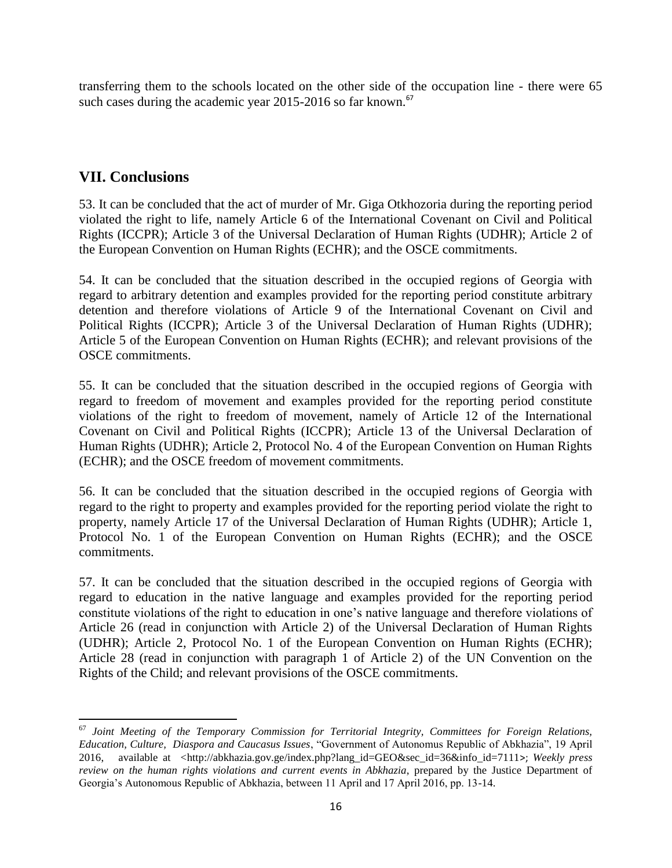transferring them to the schools located on the other side of the occupation line - there were 65 such cases during the academic year  $2015-2016$  so far known.<sup>67</sup>

## **VII. Conclusions**

 $\overline{a}$ 

53. It can be concluded that the act of murder of Mr. Giga Otkhozoria during the reporting period violated the right to life, namely Article 6 of the International Covenant on Civil and Political Rights (ICCPR); Article 3 of the Universal Declaration of Human Rights (UDHR); Article 2 of the European Convention on Human Rights (ECHR); and the OSCE commitments.

54. It can be concluded that the situation described in the occupied regions of Georgia with regard to arbitrary detention and examples provided for the reporting period constitute arbitrary detention and therefore violations of Article 9 of the International Covenant on Civil and Political Rights (ICCPR); Article 3 of the Universal Declaration of Human Rights (UDHR); Article 5 of the European Convention on Human Rights (ECHR); and relevant provisions of the OSCE commitments.

55. It can be concluded that the situation described in the occupied regions of Georgia with regard to freedom of movement and examples provided for the reporting period constitute violations of the right to freedom of movement, namely of Article 12 of the International Covenant on Civil and Political Rights (ICCPR); Article 13 of the Universal Declaration of Human Rights (UDHR); Article 2, Protocol No. 4 of the European Convention on Human Rights (ECHR); and the OSCE freedom of movement commitments.

56. It can be concluded that the situation described in the occupied regions of Georgia with regard to the right to property and examples provided for the reporting period violate the right to property, namely Article 17 of the Universal Declaration of Human Rights (UDHR); Article 1, Protocol No. 1 of the European Convention on Human Rights (ECHR); and the OSCE commitments.

57. It can be concluded that the situation described in the occupied regions of Georgia with regard to education in the native language and examples provided for the reporting period constitute violations of the right to education in one's native language and therefore violations of Article 26 (read in conjunction with Article 2) of the Universal Declaration of Human Rights (UDHR); Article 2, Protocol No. 1 of the European Convention on Human Rights (ECHR); Article 28 (read in conjunction with paragraph 1 of Article 2) of the UN Convention on the Rights of the Child; and relevant provisions of the OSCE commitments.

<sup>67</sup> *Joint Meeting of the Temporary Commission for Territorial Integrity, Committees for Foreign Relations, Education, Culture, Diaspora and Caucasus Issues*, "Government of Autonomus Republic of Abkhazia", 19 April 2016, available at [<http://abkhazia.gov.ge/index.php?lang\\_id=GEO&sec\\_id=36&info\\_id=7111](http://abkhazia.gov.ge/index.php?lang_id=GEO&sec_id=36&info_id=7111)>; *Weekly press review on the human rights violations and current events in Abkhazia*, prepared by the Justice Department of Georgia's Autonomous Republic of Abkhazia, between 11 April and 17 April 2016, pp. 13-14.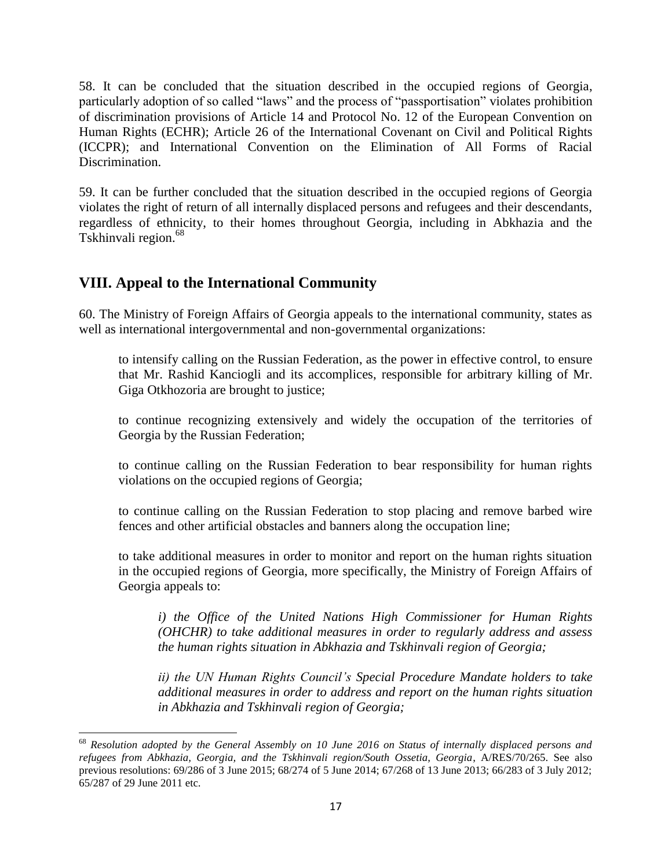58. It can be concluded that the situation described in the occupied regions of Georgia, particularly adoption of so called "laws" and the process of "passportisation" violates prohibition of discrimination provisions of Article 14 and Protocol No. 12 of the European Convention on Human Rights (ECHR); Article 26 of the International Covenant on Civil and Political Rights (ICCPR); and International Convention on the Elimination of All Forms of Racial Discrimination.

59. It can be further concluded that the situation described in the occupied regions of Georgia violates the right of return of all internally displaced persons and refugees and their descendants, regardless of ethnicity, to their homes throughout Georgia, including in Abkhazia and the Tskhinvali region.<sup>68</sup>

# **VIII. Appeal to the International Community**

 $\overline{\phantom{a}}$ 

60. The Ministry of Foreign Affairs of Georgia appeals to the international community, states as well as international intergovernmental and non-governmental organizations:

to intensify calling on the Russian Federation, as the power in effective control, to ensure that Mr. Rashid Kanciogli and its accomplices, responsible for arbitrary killing of Mr. Giga Otkhozoria are brought to justice;

to continue recognizing extensively and widely the occupation of the territories of Georgia by the Russian Federation;

to continue calling on the Russian Federation to bear responsibility for human rights violations on the occupied regions of Georgia;

to continue calling on the Russian Federation to stop placing and remove barbed wire fences and other artificial obstacles and banners along the occupation line;

to take additional measures in order to monitor and report on the human rights situation in the occupied regions of Georgia, more specifically, the Ministry of Foreign Affairs of Georgia appeals to:

*i) the Office of the United Nations High Commissioner for Human Rights (OHCHR) to take additional measures in order to regularly address and assess the human rights situation in Abkhazia and Tskhinvali region of Georgia;* 

*ii) the UN Human Rights Council's Special Procedure Mandate holders to take additional measures in order to address and report on the human rights situation in Abkhazia and Tskhinvali region of Georgia;*

<sup>68</sup> *Resolution adopted by the General Assembly on 10 June 2016 on Status of internally displaced persons and refugees from Abkhazia, Georgia, and the Tskhinvali region/South Ossetia, Georgia*, A/RES/70/265. See also previous resolutions: 69/286 of 3 June 2015; 68/274 of 5 June 2014; 67/268 of 13 June 2013; 66/283 of 3 July 2012; 65/287 of 29 June 2011 etc.